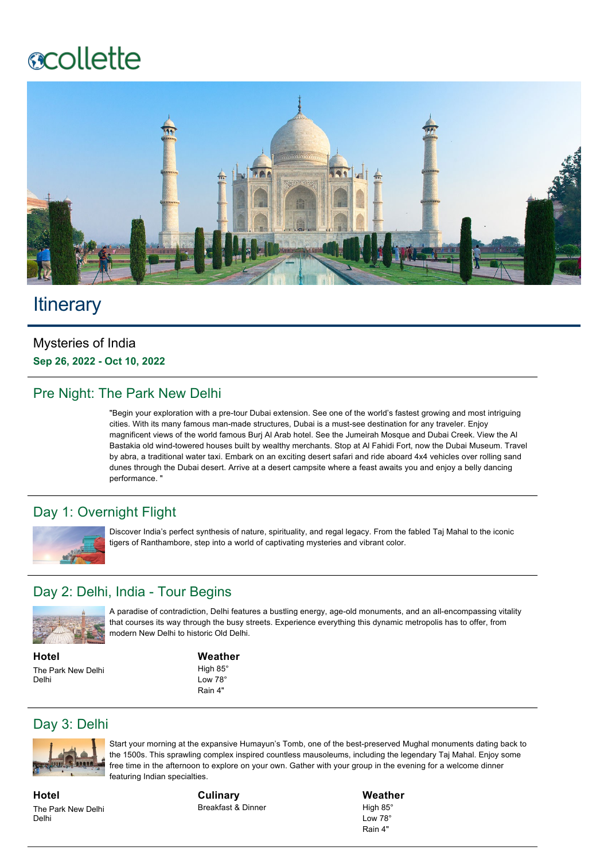# **ecollette**



## **Itinerary**

#### Mysteries of India Sep 26, 2022 - Oct 10, 2022

#### Pre Night: The Park New Delhi

"Begin your exploration with a pre-tour Dubai extension. See one of the world's fastest growing and most intriguing cities. With its many famous man-made structures, Dubai is a must-see destination for any traveler. Enjoy magnificent views of the world famous Burj Al Arab hotel. See the Jumeirah Mosque and Dubai Creek. View the Al Bastakia old wind-towered houses built by wealthy merchants. Stop at Al Fahidi Fort, now the Dubai Museum. Travel by abra, a traditional water taxi. Embark on an exciting desert safari and ride aboard 4x4 vehicles over rolling sand dunes through the Dubai desert. Arrive at a desert campsite where a feast awaits you and enjoy a belly dancing performance. "

#### Day 1: Overnight Flight



Discover India's perfect synthesis of nature, spirituality, and regal legacy. From the fabled Taj Mahal to the iconic tigers of Ranthambore, step into a world of captivating mysteries and vibrant color.

#### Day 2: Delhi, India - Tour Begins



A paradise of contradiction, Delhi features a bustling energy, age-old monuments, and an all-encompassing vitality that courses its way through the busy streets. Experience everything this dynamic metropolis has to offer, from modern New Delhi to historic Old Delhi.

**Hotel** The Park New Delhi Delhi

#### **Weather**

High 85° Low 78° Rain 4"

#### Day 3: Delhi



Start your morning at the expansive Humayun's Tomb, one of the best-preserved Mughal monuments dating back to the 1500s. This sprawling complex inspired countless mausoleums, including the legendary Taj Mahal. Enjoy some free time in the afternoon to explore on your own. Gather with your group in the evening for a welcome dinner featuring Indian specialties.

**Hotel** The Park New Delhi Delhi

**Culinary** Breakfast & Dinner **Weather** High 85° Low 78° Rain 4"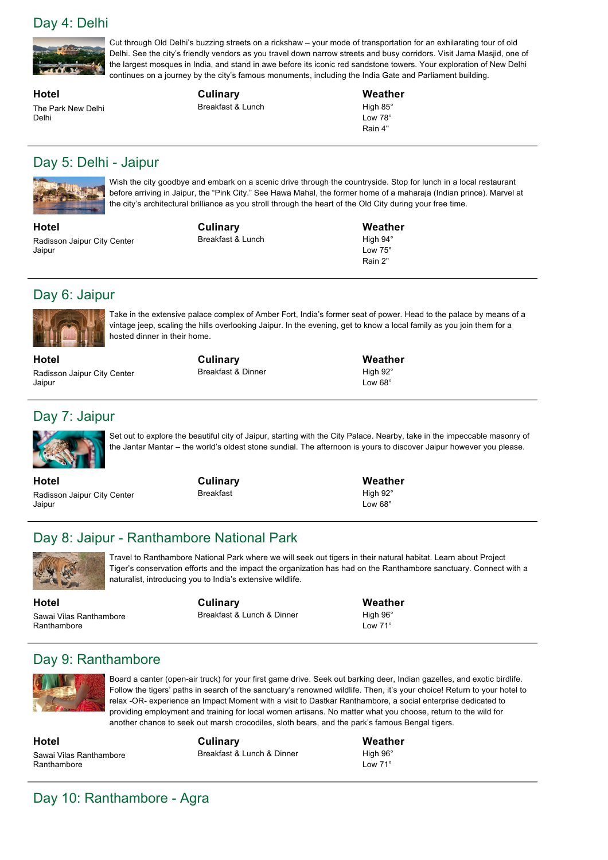#### Day 4: Delhi



Cut through Old Delhi's buzzing streets on a rickshaw – your mode of transportation for an exhilarating tour of old Delhi. See the city's friendly vendors as you travel down narrow streets and busy corridors. Visit Jama Masjid, one of the largest mosques in India, and stand in awe before its iconic red sandstone towers. Your exploration of New Delhi continues on a journey by the city's famous monuments, including the India Gate and Parliament building.

**Hotel** The Park New Delhi Delhi

**Culinary** Breakfast & Lunch **Weather** High 85° Low 78° Rain 4"

#### Day 5: Delhi - Jaipur



Wish the city goodbye and embark on a scenic drive through the countryside. Stop for lunch in a local restaurant before arriving in Jaipur, the "Pink City." See Hawa Mahal, the former home of a maharaja (Indian prince). Marvel at the city's architectural brilliance as you stroll through the heart of the Old City during your free time.

**Hotel** Radisson Jaipur City Center Jaipur

**Culinary** Breakfast & Lunch **Weather** High 94° Low 75° Rain 2"

**Weather** High 92° Low 68°

#### Day 6: Jaipur



Take in the extensive palace complex of Amber Fort, India's former seat of power. Head to the palace by means of a vintage jeep, scaling the hills overlooking Jaipur. In the evening, get to know a local family as you join them for a hosted dinner in their home.

**Hotel** Radisson Jaipur City Center Jaipur

### Day 7: Jaipur



Set out to explore the beautiful city of Jaipur, starting with the City Palace. Nearby, take in the impeccable masonry of the Jantar Mantar – the world's oldest stone sundial. The afternoon is yours to discover Jaipur however you please.

**Hotel** Radisson Jaipur City Center Jaipur

**Culinary** Breakfast

**Culinary** Breakfast & Dinner

> **Weather** High 92° Low 68°

#### Day 8: Jaipur - Ranthambore National Park



Travel to Ranthambore National Park where we will seek out tigers in their natural habitat. Learn about Project Tiger's conservation efforts and the impact the organization has had on the Ranthambore sanctuary. Connect with a naturalist, introducing you to India's extensive wildlife.

**Hotel** Sawai Vilas Ranthambore Ranthambore

**Culinary** Breakfast & Lunch & Dinner **Weather** High 96° Low 71°

#### Day 9: Ranthambore



Board a canter (open-air truck) for your first game drive. Seek out barking deer, Indian gazelles, and exotic birdlife. Follow the tigers' paths in search of the sanctuary's renowned wildlife. Then, it's your choice! Return to your hotel to relax -OR- experience an Impact Moment with a visit to Dastkar Ranthambore, a social enterprise dedicated to providing employment and training for local women artisans. No matter what you choose, return to the wild for another chance to seek out marsh crocodiles, sloth bears, and the park's famous Bengal tigers.

**Hotel** Sawai Vilas Ranthambore Ranthambore

**Culinary** Breakfast & Lunch & Dinner **Weather** High 96° Low 71°